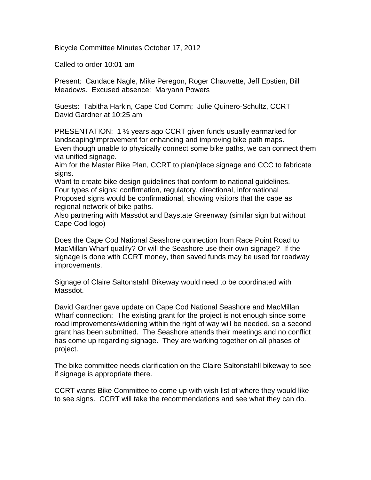Bicycle Committee Minutes October 17, 2012

Called to order 10:01 am

Present: Candace Nagle, Mike Peregon, Roger Chauvette, Jeff Epstien, Bill Meadows. Excused absence: Maryann Powers

Guests: Tabitha Harkin, Cape Cod Comm; Julie Quinero-Schultz, CCRT David Gardner at 10:25 am

PRESENTATION: 1 ½ years ago CCRT given funds usually earmarked for landscaping/improvement for enhancing and improving bike path maps. Even though unable to physically connect some bike paths, we can connect them via unified signage.

Aim for the Master Bike Plan, CCRT to plan/place signage and CCC to fabricate signs.

Want to create bike design guidelines that conform to national guidelines. Four types of signs: confirmation, regulatory, directional, informational Proposed signs would be confirmational, showing visitors that the cape as regional network of bike paths.

Also partnering with Massdot and Baystate Greenway (similar sign but without Cape Cod logo)

Does the Cape Cod National Seashore connection from Race Point Road to MacMillan Wharf qualify? Or will the Seashore use their own signage? If the signage is done with CCRT money, then saved funds may be used for roadway improvements.

Signage of Claire Saltonstahll Bikeway would need to be coordinated with Massdot.

David Gardner gave update on Cape Cod National Seashore and MacMillan Wharf connection: The existing grant for the project is not enough since some road improvements/widening within the right of way will be needed, so a second grant has been submitted. The Seashore attends their meetings and no conflict has come up regarding signage. They are working together on all phases of project.

The bike committee needs clarification on the Claire Saltonstahll bikeway to see if signage is appropriate there.

CCRT wants Bike Committee to come up with wish list of where they would like to see signs. CCRT will take the recommendations and see what they can do.